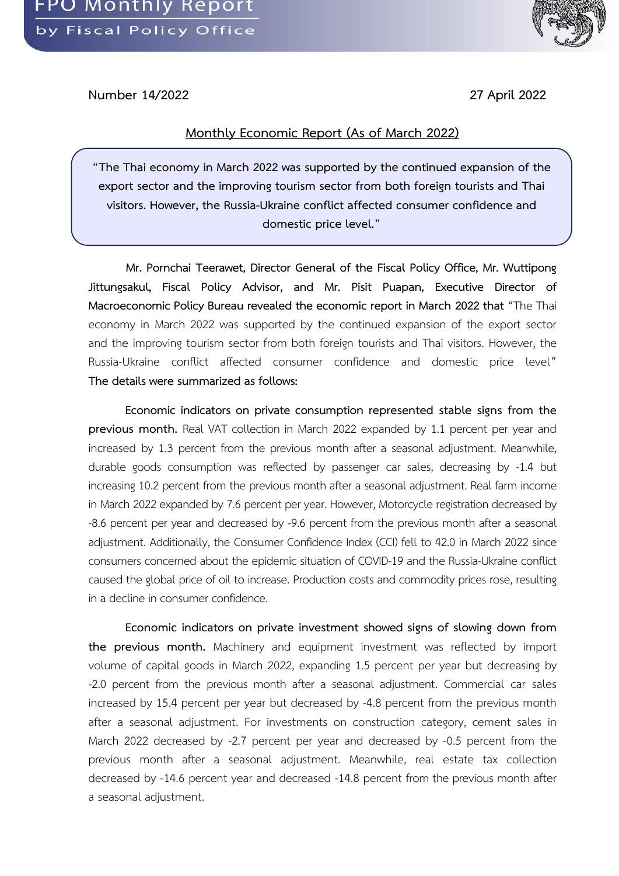

**Number 14/2022 27 April 2022**

## **Monthly Economic Report (As of March 2022)**

**"The Thai economy in March 2022 was supported by the continued expansion of the export sector and the improving tourism sector from both foreign tourists and Thai visitors. However, the Russia-Ukraine conflict affected consumer confidence and domestic price level."**

**Mr. Pornchai Teerawet, Director General of the Fiscal Policy Office, Mr. Wuttipong Jittungsakul, Fiscal Policy Advisor, and Mr. Pisit Puapan, Executive Director of Macroeconomic Policy Bureau revealed the economic report in March 2022 that** "The Thai economy in March 2022 was supported by the continued expansion of the export sector and the improving tourism sector from both foreign tourists and Thai visitors. However, the Russia-Ukraine conflict affected consumer confidence and domestic price level" **The details were summarized as follows:** 

**Economic indicators on private consumption represented stable signs from the previous month.** Real VAT collection in March 2022 expanded by 1.1 percent per year and increased by 1.3 percent from the previous month after a seasonal adjustment. Meanwhile, durable goods consumption was reflected by passenger car sales, decreasing by -1.4 but increasing 10.2 percent from the previous month after a seasonal adjustment. Real farm income in March 2022 expanded by 7.6 percent per year. However, Motorcycle registration decreased by -8.6 percent per year and decreased by -9.6 percent from the previous month after a seasonal adjustment. Additionally, the Consumer Confidence Index (CCI) fell to 42.0 in March 2022 since consumers concerned about the epidemic situation of COVID-19 and the Russia-Ukraine conflict caused the global price of oil to increase. Production costs and commodity prices rose, resulting in a decline in consumer confidence.

**Economic indicators on private investment showed signs of slowing down from the previous month.** Machinery and equipment investment was reflected by import volume of capital goods in March 2022, expanding 1.5 percent per year but decreasing by -2.0 percent from the previous month after a seasonal adjustment. Commercial car sales increased by 15.4 percent per year but decreased by -4.8 percent from the previous month after a seasonal adjustment. For investments on construction category, cement sales in March 2022 decreased by -2.7 percent per year and decreased by -0.5 percent from the previous month after a seasonal adjustment. Meanwhile, real estate tax collection decreased by -14.6 percent year and decreased -14.8 percent from the previous month after a seasonal adjustment.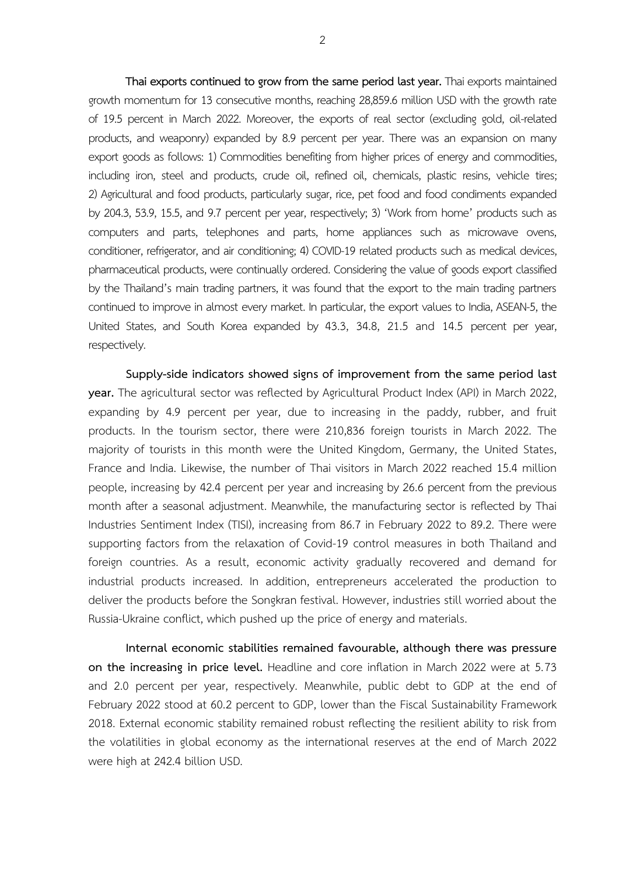**Thai exports continued to grow from the same period last year.**Thai exports maintained growth momentum for 13 consecutive months, reaching 28,859.6 million USD with the growth rate of 19.5 percent in March 2022. Moreover, the exports of real sector (excluding gold, oil-related products, and weaponry) expanded by 8.9 percent per year. There was an expansion on many export goods as follows: 1) Commodities benefiting from higher prices of energy and commodities, including iron, steel and products, crude oil, refined oil, chemicals, plastic resins, vehicle tires; 2) Agricultural and food products, particularly sugar, rice, pet food and food condiments expanded by 204.3, 53.9, 15.5, and 9.7 percent per year, respectively; 3) 'Work from home' products such as computers and parts, telephones and parts, home appliances such as microwave ovens, conditioner, refrigerator, and air conditioning; 4) COVID-19 related products such as medical devices, pharmaceutical products, were continually ordered. Considering the value of goods export classified by the Thailand's main trading partners, it was found that the export to the main trading partners continued to improve in almost every market. In particular, the export values to India, ASEAN-5, the United States, and South Korea expanded by 43.3, 34.8, 21.5 and 14.5 percent per year, respectively.

**Supply-side indicators showed signs of improvement from the same period last year.** The agricultural sector was reflected by Agricultural Product Index (API) in March 2022, expanding by 4.9 percent per year, due to increasing in the paddy, rubber, and fruit products. In the tourism sector, there were 210,836 foreign tourists in March 2022. The majority of tourists in this month were the United Kingdom, Germany, the United States, France and India. Likewise, the number of Thai visitors in March 2022 reached 15.4 million people, increasing by 42.4 percent per year and increasing by 26.6 percent from the previous month after a seasonal adjustment. Meanwhile, the manufacturing sector is reflected by Thai Industries Sentiment Index (TISI), increasing from 86.7 in February 2022 to 89.2. There were supporting factors from the relaxation of Covid-19 control measures in both Thailand and foreign countries. As a result, economic activity gradually recovered and demand for industrial products increased. In addition, entrepreneurs accelerated the production to deliver the products before the Songkran festival. However, industries still worried about the Russia-Ukraine conflict, which pushed up the price of energy and materials.

**Internal economic stabilities remained favourable, although there was pressure on the increasing in price level.** Headline and core inflation in March 2022 were at 5.73 and 2.0 percent per year, respectively. Meanwhile, public debt to GDP at the end of February 2022 stood at 60.2 percent to GDP, lower than the Fiscal Sustainability Framework 2018. External economic stability remained robust reflecting the resilient ability to risk from the volatilities in global economy as the international reserves at the end of March 2022 were high at 242.4 billion USD.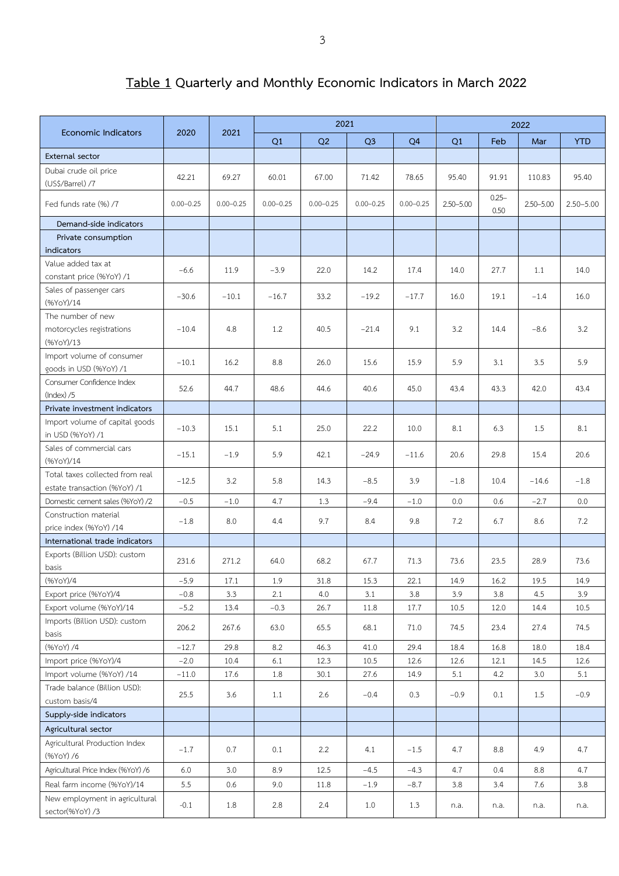## **Table 1 Quarterly and Monthly Economic Indicators in March 2022**

|                                                    | 2020             | 2021          |               | 2021          |                |                | 2022        |                  |               |               |  |
|----------------------------------------------------|------------------|---------------|---------------|---------------|----------------|----------------|-------------|------------------|---------------|---------------|--|
| <b>Economic Indicators</b>                         |                  |               | Q1            | Q2            | Q <sub>3</sub> | Q <sub>4</sub> | Q1          | Feb              | Mar           | <b>YTD</b>    |  |
| External sector                                    |                  |               |               |               |                |                |             |                  |               |               |  |
| Dubai crude oil price                              | 42.21            | 69.27         | 60.01         | 67.00         | 71.42          | 78.65          | 95.40       | 91.91            | 110.83        | 95.40         |  |
| (US\$/Barrel) /7                                   |                  |               |               |               |                |                |             |                  |               |               |  |
| Fed funds rate (%) /7                              | $0.00 - 0.25$    | $0.00 - 0.25$ | $0.00 - 0.25$ | $0.00 - 0.25$ | $0.00 - 0.25$  | $0.00 - 0.25$  | 2.50-5.00   | $0.25 -$<br>0.50 | $2.50 - 5.00$ | $2.50 - 5.00$ |  |
| Demand-side indicators                             |                  |               |               |               |                |                |             |                  |               |               |  |
| Private consumption<br>indicators                  |                  |               |               |               |                |                |             |                  |               |               |  |
| Value added tax at                                 |                  |               |               |               |                |                |             |                  |               |               |  |
| constant price (%YoY) /1                           | $-6.6$           | 11.9          | $-3.9$        | 22.0          | 14.2           | 17.4           | 14.0        | 27.7             | 1.1           | 14.0          |  |
| Sales of passenger cars                            | $-30.6$          | $-10.1$       | $-16.7$       | 33.2          | $-19.2$        | $-17.7$        | 16.0        | 19.1             | $-1.4$        | 16.0          |  |
| (%YoY)/14                                          |                  |               |               |               |                |                |             |                  |               |               |  |
| The number of new                                  |                  |               |               |               |                |                |             |                  |               |               |  |
| motorcycles registrations<br>(%YoY)/13             | $-10.4$          | 4.8           | 1.2           | 40.5          | $-21.4$        | 9.1            | 3.2         | 14.4             | $-8.6$        | 3.2           |  |
| Import volume of consumer                          |                  |               |               |               |                |                |             |                  |               |               |  |
| goods in USD (%YoY) /1                             | $-10.1$          | 16.2          | 8.8           | 26.0          | 15.6           | 15.9           | 5.9         | 3.1              | 3.5           | 5.9           |  |
| Consumer Confidence Index                          | 52.6             | 44.7          | 48.6          | 44.6          | 40.6           | 45.0           | 43.4        | 43.3             | 42.0          | 43.4          |  |
| (Index) / 5                                        |                  |               |               |               |                |                |             |                  |               |               |  |
| Private investment indicators                      |                  |               |               |               |                |                |             |                  |               |               |  |
| Import volume of capital goods<br>in USD (%YoY) /1 | $-10.3$          | 15.1          | 5.1           | 25.0          | 22.2           | 10.0           | 8.1         | 6.3              | 1.5           | 8.1           |  |
| Sales of commercial cars                           | $-15.1$          | $-1.9$        | 5.9           | 42.1          | $-24.9$        | $-11.6$        | 20.6        | 29.8             | 15.4          | 20.6          |  |
| (%YoY)/14<br>Total taxes collected from real       |                  |               |               |               |                |                |             |                  |               |               |  |
| estate transaction (%YoY) /1                       | $-12.5$          | 3.2           | 5.8           | 14.3          | $-8.5$         | 3.9            | $-1.8$      | 10.4             | $-14.6$       | $-1.8$        |  |
| Domestic cement sales (%YoY) /2                    | $-0.5$           | $-1.0$        | 4.7           | 1.3           | $-9.4$         | $-1.0$         | 0.0         | 0.6              | $-2.7$        | 0.0           |  |
| Construction material                              |                  |               |               |               |                |                |             |                  |               |               |  |
| price index (%YoY) /14                             | $-1.8$           | 8.0           | 4.4           | 9.7           | 8.4            | 9.8            | 7.2         | 6.7              | 8.6           | 7.2           |  |
| International trade indicators                     |                  |               |               |               |                |                |             |                  |               |               |  |
| Exports (Billion USD): custom                      | 231.6            | 271.2         | 64.0          | 68.2          | 67.7           | 71.3           | 73.6        | 23.5             | 28.9          | 73.6          |  |
| basis                                              |                  |               |               |               |                |                |             |                  |               |               |  |
| (%YoY)/4                                           | $-5.9$           | 17.1          | $1.9\,$       | 31.8          | 15.3           | 22.1           | 14.9        | 16.2             | 19.5          | 14.9          |  |
| Export price (%YoY)/4<br>Export volume (%YoY)/14   | $-0.8$<br>$-5.2$ | 3.3<br>13.4   | 2.1<br>$-0.3$ | 4.0<br>26.7   | 3.1<br>11.8    | 3.8<br>17.7    | 3.9<br>10.5 | 3.8<br>12.0      | 4.5<br>14.4   | 3.9<br>10.5   |  |
| Imports (Billion USD): custom                      |                  |               |               |               |                |                |             |                  |               |               |  |
| basis                                              | 206.2            | 267.6         | 63.0          | 65.5          | 68.1           | 71.0           | 74.5        | 23.4             | 27.4          | 74.5          |  |
| (%YoY) /4                                          | $-12.7$          | 29.8          | 8.2           | 46.3          | 41.0           | 29.4           | 18.4        | 16.8             | 18.0          | 18.4          |  |
| Import price (%YoY)/4                              | $-2.0$           | 10.4          | $6.1\,$       | 12.3          | 10.5           | 12.6           | 12.6        | 12.1             | 14.5          | 12.6          |  |
| Import volume (%YoY) /14                           | $-11.0$          | 17.6          | $1.8\,$       | 30.1          | 27.6           | 14.9           | 5.1         | 4.2              | 3.0           | 5.1           |  |
| Trade balance (Billion USD):                       | 25.5             | 3.6           | 1.1           | 2.6           | $-0.4$         | 0.3            | $-0.9$      | 0.1              | 1.5           | $-0.9$        |  |
| custom basis/4                                     |                  |               |               |               |                |                |             |                  |               |               |  |
| Supply-side indicators                             |                  |               |               |               |                |                |             |                  |               |               |  |
| Agricultural sector                                |                  |               |               |               |                |                |             |                  |               |               |  |
| Agricultural Production Index<br>(%YoY) /6         | $-1.7$           | 0.7           | 0.1           | 2.2           | 4.1            | $-1.5$         | 4.7         | 8.8              | 4.9           | 4.7           |  |
| Agricultural Price Index (%YoY) /6                 | 6.0              | 3.0           | 8.9           | 12.5          | $-4.5$         | $-4.3$         | 4.7         | 0.4              | 8.8           | 4.7           |  |
| Real farm income (%YoY)/14                         | 5.5              | 0.6           | 9.0           | 11.8          | $-1.9$         | $-8.7$         | 3.8         | 3.4              | 7.6           | 3.8           |  |
| New employment in agricultural<br>sector(%YoY)/3   | $-0.1$           | 1.8           | 2.8           | 2.4           | 1.0            | 1.3            | n.a.        | n.a.             | n.a.          | n.a.          |  |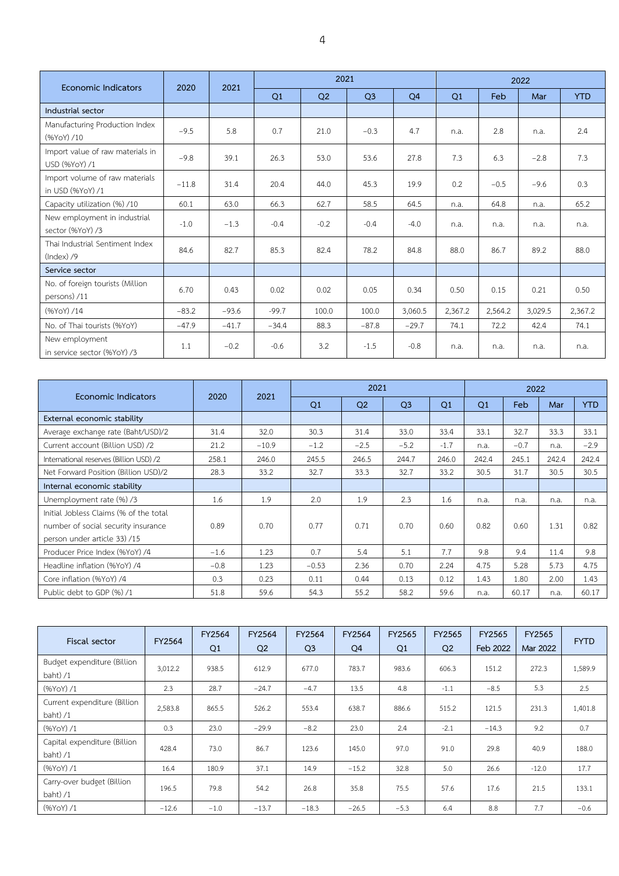| Economic Indicators                                | 2020    | 2021    |         | 2021           |                |                |         | 2022    |         |            |  |
|----------------------------------------------------|---------|---------|---------|----------------|----------------|----------------|---------|---------|---------|------------|--|
|                                                    |         |         | Q1      | Q <sub>2</sub> | Q <sub>3</sub> | O <sub>4</sub> | Q1      | Feb     | Mar     | <b>YTD</b> |  |
| Industrial sector                                  |         |         |         |                |                |                |         |         |         |            |  |
| Manufacturing Production Index<br>(%YoY) /10       | $-9.5$  | 5.8     | 0.7     | 21.0           | $-0.3$         | 4.7            | n.a.    | 2.8     | n.a.    | 2.4        |  |
| Import value of raw materials in<br>USD (%YoY) /1  | $-9.8$  | 39.1    | 26.3    | 53.0           | 53.6           | 27.8           | 7.3     | 6.3     | $-2.8$  | 7.3        |  |
| Import volume of raw materials<br>in USD (%YoY) /1 | $-11.8$ | 31.4    | 20.4    | 44.0           | 45.3           | 19.9           | 0.2     | $-0.5$  | $-9.6$  | 0.3        |  |
| Capacity utilization (%) /10                       | 60.1    | 63.0    | 66.3    | 62.7           | 58.5           | 64.5           | n.a.    | 64.8    | n.a.    | 65.2       |  |
| New employment in industrial<br>sector (%YoY) /3   | $-1.0$  | $-1.3$  | $-0.4$  | $-0.2$         | $-0.4$         | $-4.0$         | n.a.    | n.a.    | n.a.    | n.a.       |  |
| Thai Industrial Sentiment Index<br>$(Index)$ /9    | 84.6    | 82.7    | 85.3    | 82.4           | 78.2           | 84.8           | 88.0    | 86.7    | 89.2    | 88.0       |  |
| Service sector                                     |         |         |         |                |                |                |         |         |         |            |  |
| No. of foreign tourists (Million<br>persons) /11   | 6.70    | 0.43    | 0.02    | 0.02           | 0.05           | 0.34           | 0.50    | 0.15    | 0.21    | 0.50       |  |
| (%YoY) /14                                         | $-83.2$ | $-93.6$ | $-99.7$ | 100.0          | 100.0          | 3,060.5        | 2,367.2 | 2,564.2 | 3,029.5 | 2,367.2    |  |
| No. of Thai tourists (%YoY)                        | $-47.9$ | $-41.7$ | $-34.4$ | 88.3           | $-87.8$        | $-29.7$        | 74.1    | 72.2    | 42.4    | 74.1       |  |
| New employment<br>in service sector (%YoY) /3      | 1.1     | $-0.2$  | $-0.6$  | 3.2            | $-1.5$         | $-0.8$         | n.a.    | n.a.    | n.a.    | n.a.       |  |

| Economic Indicators                     | 2020   | 2021    |         | 2022           |                |        |       |        |       |            |
|-----------------------------------------|--------|---------|---------|----------------|----------------|--------|-------|--------|-------|------------|
|                                         |        |         | Q1      | O <sub>2</sub> | Q <sub>3</sub> | Q1     | Q1    | Feb    | Mar   | <b>YTD</b> |
| External economic stability             |        |         |         |                |                |        |       |        |       |            |
| Average exchange rate (Baht/USD)/2      | 31.4   | 32.0    | 30.3    | 31.4           | 33.0           | 33.4   | 33.1  | 32.7   | 33.3  | 33.1       |
| Current account (Billion USD) /2        | 21.2   | $-10.9$ | $-1.2$  | $-2.5$         | $-5.2$         | $-1.7$ | n.a.  | $-0.7$ | n.a.  | $-2.9$     |
| International reserves (Billion USD) /2 | 258.1  | 246.0   | 245.5   | 246.5          | 244.7          | 246.0  | 242.4 | 245.1  | 242.4 | 242.4      |
| Net Forward Position (Billion USD)/2    | 28.3   | 33.2    | 32.7    | 33.3           | 32.7           | 33.2   | 30.5  | 31.7   | 30.5  | 30.5       |
| Internal economic stability             |        |         |         |                |                |        |       |        |       |            |
| Unemployment rate (%) /3                | 1.6    | 1.9     | 2.0     | 1.9            | 2.3            | 1.6    | n.a.  | n.a.   | n.a.  | n.a.       |
| Initial Jobless Claims (% of the total  |        |         |         |                |                |        |       |        |       |            |
| number of social security insurance     | 0.89   | 0.70    | 0.77    | 0.71           | 0.70           | 0.60   | 0.82  | 0.60   | 1.31  | 0.82       |
| person under article 33) /15            |        |         |         |                |                |        |       |        |       |            |
| Producer Price Index (%YoY) /4          | $-1.6$ | 1.23    | 0.7     | 5.4            | 5.1            | 7.7    | 9.8   | 9.4    | 11.4  | 9.8        |
| Headline inflation (%YoY) /4            | $-0.8$ | 1.23    | $-0.53$ | 2.36           | 0.70           | 2.24   | 4.75  | 5.28   | 5.73  | 4.75       |
| Core inflation (%YoY) /4                | 0.3    | 0.23    | 0.11    | 0.44           | 0.13           | 0.12   | 1.43  | 1.80   | 2.00  | 1.43       |
| Public debt to GDP (%) /1               | 51.8   | 59.6    | 54.3    | 55.2           | 58.2           | 59.6   | n.a.  | 60.17  | n.a.  | 60.17      |

| Fiscal sector                              | FY2564  | FY2564 | FY2564         | FY2564         | FY2564         | FY2565 | FY2565         | FY2565   | <b>FY2565</b> |             |
|--------------------------------------------|---------|--------|----------------|----------------|----------------|--------|----------------|----------|---------------|-------------|
|                                            |         | Q1     | Q <sub>2</sub> | Q <sub>3</sub> | Q <sub>4</sub> | Q1     | Q <sub>2</sub> | Feb 2022 | Mar 2022      | <b>FYTD</b> |
| Budget expenditure (Billion<br>baht) $/1$  | 3,012.2 | 938.5  | 612.9          | 677.0          | 783.7          | 983.6  | 606.3          | 151.2    | 272.3         | 1,589.9     |
| (%YoY)/1                                   | 2.3     | 28.7   | $-24.7$        | $-4.7$         | 13.5           | 4.8    | $-1.1$         | $-8.5$   | 5.3           | 2.5         |
| Current expenditure (Billion<br>baht $)/1$ | 2,583.8 | 865.5  | 526.2          | 553.4          | 638.7          | 886.6  | 515.2          | 121.5    | 231.3         | 1,401.8     |
| (%YoY)/1                                   | 0.3     | 23.0   | $-29.9$        | $-8.2$         | 23.0           | 2.4    | $-2.1$         | $-14.3$  | 9.2           | 0.7         |
| Capital expenditure (Billion<br>baht) $/1$ | 428.4   | 73.0   | 86.7           | 123.6          | 145.0          | 97.0   | 91.0           | 29.8     | 40.9          | 188.0       |
| (%YoY)/1                                   | 16.4    | 180.9  | 37.1           | 14.9           | $-15.2$        | 32.8   | 5.0            | 26.6     | $-12.0$       | 17.7        |
| Carry-over budget (Billion<br>baht) $/1$   | 196.5   | 79.8   | 54.2           | 26.8           | 35.8           | 75.5   | 57.6           | 17.6     | 21.5          | 133.1       |
| (%YoY)/1                                   | $-12.6$ | $-1.0$ | $-13.7$        | $-18.3$        | $-26.5$        | $-5.3$ | 6.4            | 8.8      | 7.7           | $-0.6$      |